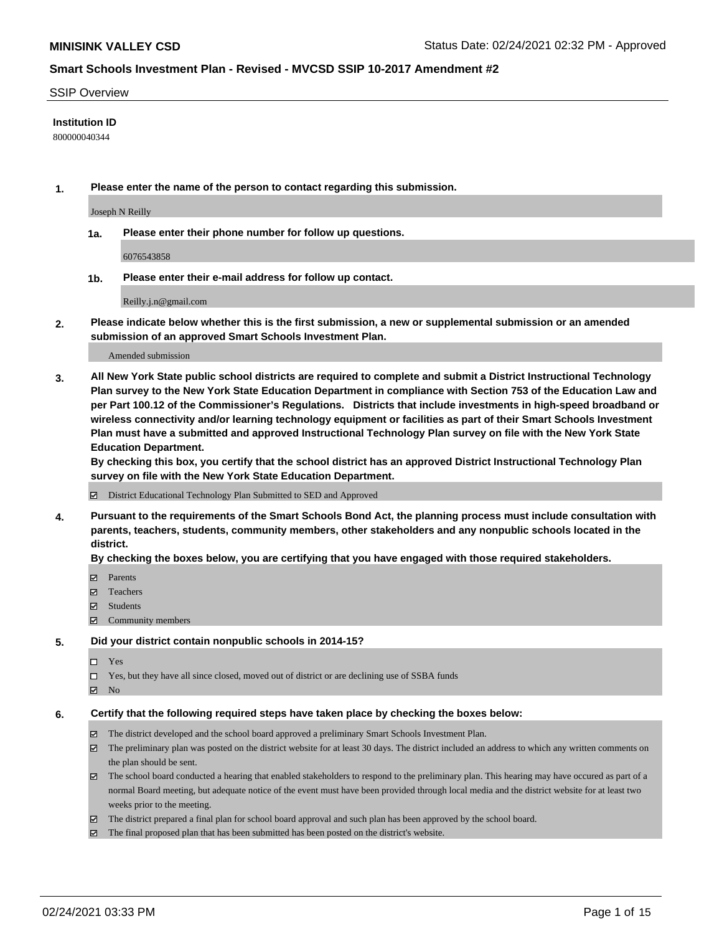#### SSIP Overview

#### **Institution ID**

800000040344

**1. Please enter the name of the person to contact regarding this submission.**

Joseph N Reilly

**1a. Please enter their phone number for follow up questions.**

6076543858

**1b. Please enter their e-mail address for follow up contact.**

Reilly.j.n@gmail.com

**2. Please indicate below whether this is the first submission, a new or supplemental submission or an amended submission of an approved Smart Schools Investment Plan.**

#### Amended submission

**3. All New York State public school districts are required to complete and submit a District Instructional Technology Plan survey to the New York State Education Department in compliance with Section 753 of the Education Law and per Part 100.12 of the Commissioner's Regulations. Districts that include investments in high-speed broadband or wireless connectivity and/or learning technology equipment or facilities as part of their Smart Schools Investment Plan must have a submitted and approved Instructional Technology Plan survey on file with the New York State Education Department.** 

**By checking this box, you certify that the school district has an approved District Instructional Technology Plan survey on file with the New York State Education Department.**

District Educational Technology Plan Submitted to SED and Approved

**4. Pursuant to the requirements of the Smart Schools Bond Act, the planning process must include consultation with parents, teachers, students, community members, other stakeholders and any nonpublic schools located in the district.** 

#### **By checking the boxes below, you are certifying that you have engaged with those required stakeholders.**

- **Ø** Parents
- Teachers
- Students
- $\Xi$  Community members

#### **5. Did your district contain nonpublic schools in 2014-15?**

- □ Yes
- □ Yes, but they have all since closed, moved out of district or are declining use of SSBA funds
- **Ø** No

### **6. Certify that the following required steps have taken place by checking the boxes below:**

- The district developed and the school board approved a preliminary Smart Schools Investment Plan.
- The preliminary plan was posted on the district website for at least 30 days. The district included an address to which any written comments on the plan should be sent.
- The school board conducted a hearing that enabled stakeholders to respond to the preliminary plan. This hearing may have occured as part of a normal Board meeting, but adequate notice of the event must have been provided through local media and the district website for at least two weeks prior to the meeting.
- The district prepared a final plan for school board approval and such plan has been approved by the school board.
- $\boxtimes$  The final proposed plan that has been submitted has been posted on the district's website.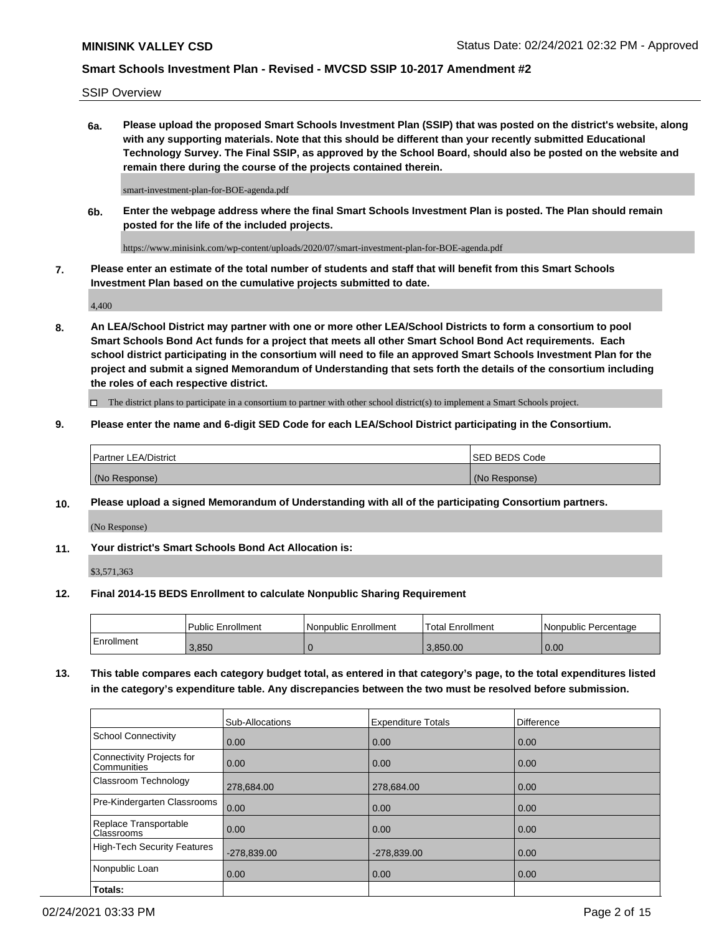SSIP Overview

**6a. Please upload the proposed Smart Schools Investment Plan (SSIP) that was posted on the district's website, along with any supporting materials. Note that this should be different than your recently submitted Educational Technology Survey. The Final SSIP, as approved by the School Board, should also be posted on the website and remain there during the course of the projects contained therein.**

smart-investment-plan-for-BOE-agenda.pdf

**6b. Enter the webpage address where the final Smart Schools Investment Plan is posted. The Plan should remain posted for the life of the included projects.**

https://www.minisink.com/wp-content/uploads/2020/07/smart-investment-plan-for-BOE-agenda.pdf

**7. Please enter an estimate of the total number of students and staff that will benefit from this Smart Schools Investment Plan based on the cumulative projects submitted to date.**

4,400

**8. An LEA/School District may partner with one or more other LEA/School Districts to form a consortium to pool Smart Schools Bond Act funds for a project that meets all other Smart School Bond Act requirements. Each school district participating in the consortium will need to file an approved Smart Schools Investment Plan for the project and submit a signed Memorandum of Understanding that sets forth the details of the consortium including the roles of each respective district.**

 $\Box$  The district plans to participate in a consortium to partner with other school district(s) to implement a Smart Schools project.

### **9. Please enter the name and 6-digit SED Code for each LEA/School District participating in the Consortium.**

|               | Partner LEA/District | ISED BEDS Code |
|---------------|----------------------|----------------|
| (No Response) |                      | (No Response)  |

### **10. Please upload a signed Memorandum of Understanding with all of the participating Consortium partners.**

(No Response)

### **11. Your district's Smart Schools Bond Act Allocation is:**

\$3,571,363

#### **12. Final 2014-15 BEDS Enrollment to calculate Nonpublic Sharing Requirement**

|            | Public Enrollment | Nonpublic Enrollment | Total Enrollment | l Nonpublic Percentage |
|------------|-------------------|----------------------|------------------|------------------------|
| Enrollment | 3,850             |                      | .850.00          | 0.00                   |

**13. This table compares each category budget total, as entered in that category's page, to the total expenditures listed in the category's expenditure table. Any discrepancies between the two must be resolved before submission.**

|                                          | Sub-Allocations | <b>Expenditure Totals</b> | Difference |
|------------------------------------------|-----------------|---------------------------|------------|
| <b>School Connectivity</b>               | 0.00            | 0.00                      | 0.00       |
| Connectivity Projects for<br>Communities | 0.00            | 0.00                      | 0.00       |
| Classroom Technology                     | 278,684.00      | 278,684.00                | 0.00       |
| Pre-Kindergarten Classrooms              | 0.00            | 0.00                      | 0.00       |
| Replace Transportable<br>Classrooms      | 0.00            | 0.00                      | 0.00       |
| <b>High-Tech Security Features</b>       | $-278,839.00$   | $-278,839.00$             | 0.00       |
| Nonpublic Loan                           | 0.00            | 0.00                      | 0.00       |
| Totals:                                  |                 |                           |            |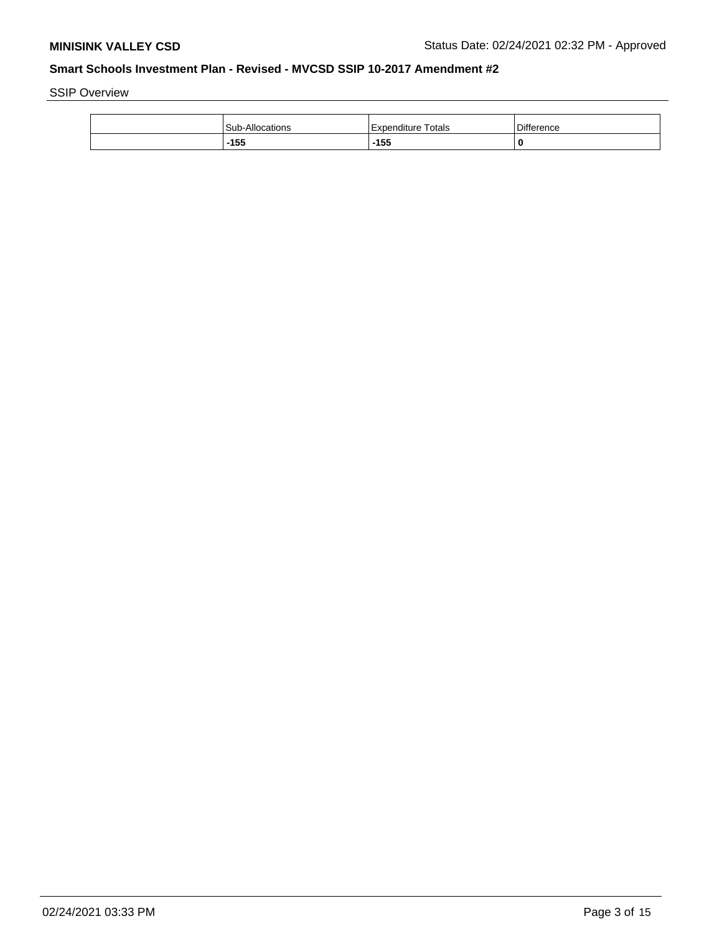SSIP Overview

| Sub-Allocations | Totals<br>Expenditure | Difference |
|-----------------|-----------------------|------------|
| $-155$          | 155                   |            |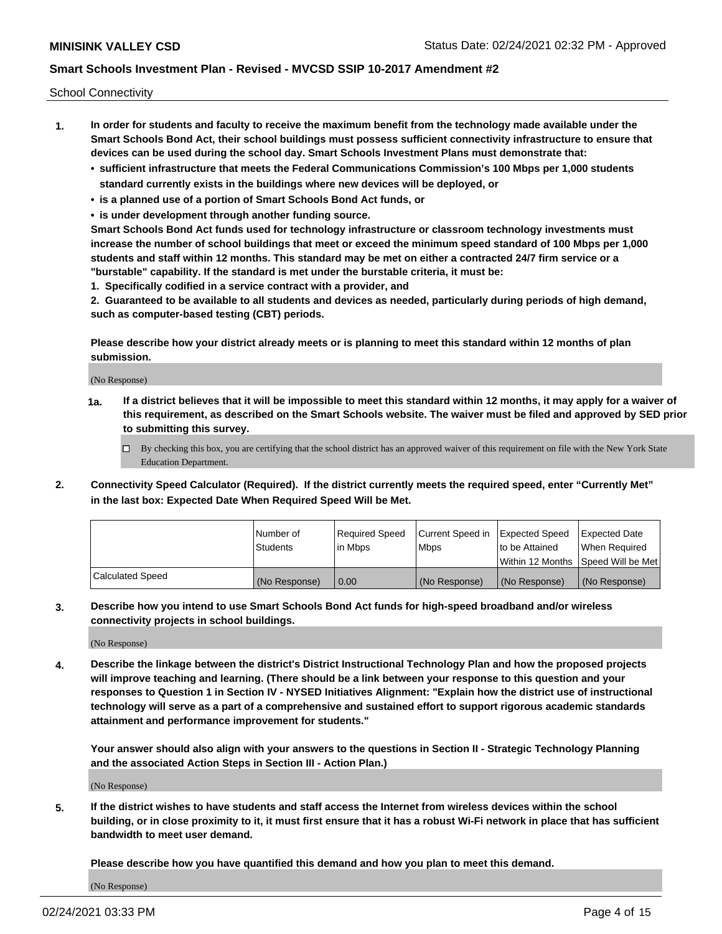School Connectivity

- **1. In order for students and faculty to receive the maximum benefit from the technology made available under the Smart Schools Bond Act, their school buildings must possess sufficient connectivity infrastructure to ensure that devices can be used during the school day. Smart Schools Investment Plans must demonstrate that:**
	- **• sufficient infrastructure that meets the Federal Communications Commission's 100 Mbps per 1,000 students standard currently exists in the buildings where new devices will be deployed, or**
	- **• is a planned use of a portion of Smart Schools Bond Act funds, or**
	- **• is under development through another funding source.**

**Smart Schools Bond Act funds used for technology infrastructure or classroom technology investments must increase the number of school buildings that meet or exceed the minimum speed standard of 100 Mbps per 1,000 students and staff within 12 months. This standard may be met on either a contracted 24/7 firm service or a "burstable" capability. If the standard is met under the burstable criteria, it must be:**

**1. Specifically codified in a service contract with a provider, and**

**2. Guaranteed to be available to all students and devices as needed, particularly during periods of high demand, such as computer-based testing (CBT) periods.**

**Please describe how your district already meets or is planning to meet this standard within 12 months of plan submission.**

(No Response)

**1a. If a district believes that it will be impossible to meet this standard within 12 months, it may apply for a waiver of this requirement, as described on the Smart Schools website. The waiver must be filed and approved by SED prior to submitting this survey.**

 $\Box$  By checking this box, you are certifying that the school district has an approved waiver of this requirement on file with the New York State Education Department.

**2. Connectivity Speed Calculator (Required). If the district currently meets the required speed, enter "Currently Met" in the last box: Expected Date When Required Speed Will be Met.**

|                  | l Number of     | Required Speed | Current Speed in | Expected Speed  | Expected Date                           |
|------------------|-----------------|----------------|------------------|-----------------|-----------------------------------------|
|                  | <b>Students</b> | In Mbps        | l Mbps           | to be Attained  | When Required                           |
|                  |                 |                |                  |                 | l Within 12 Months ISpeed Will be Met l |
| Calculated Speed | (No Response)   | 0.00           | (No Response)    | l (No Response) | l (No Response)                         |

**3. Describe how you intend to use Smart Schools Bond Act funds for high-speed broadband and/or wireless connectivity projects in school buildings.**

(No Response)

**4. Describe the linkage between the district's District Instructional Technology Plan and how the proposed projects will improve teaching and learning. (There should be a link between your response to this question and your responses to Question 1 in Section IV - NYSED Initiatives Alignment: "Explain how the district use of instructional technology will serve as a part of a comprehensive and sustained effort to support rigorous academic standards attainment and performance improvement for students."** 

**Your answer should also align with your answers to the questions in Section II - Strategic Technology Planning and the associated Action Steps in Section III - Action Plan.)**

(No Response)

**5. If the district wishes to have students and staff access the Internet from wireless devices within the school building, or in close proximity to it, it must first ensure that it has a robust Wi-Fi network in place that has sufficient bandwidth to meet user demand.**

**Please describe how you have quantified this demand and how you plan to meet this demand.**

(No Response)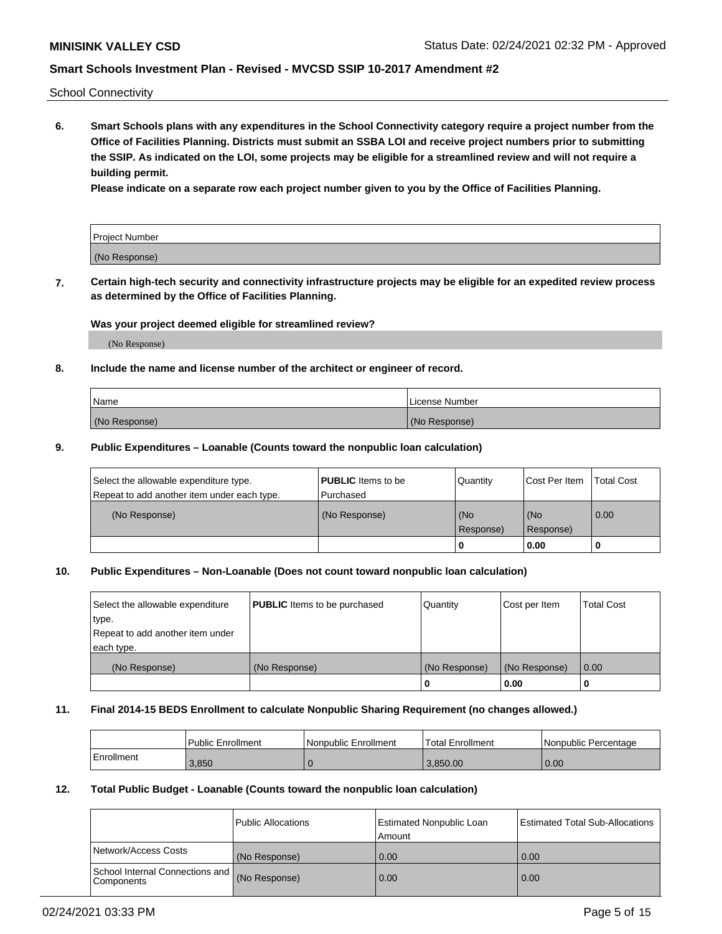School Connectivity

**6. Smart Schools plans with any expenditures in the School Connectivity category require a project number from the Office of Facilities Planning. Districts must submit an SSBA LOI and receive project numbers prior to submitting the SSIP. As indicated on the LOI, some projects may be eligible for a streamlined review and will not require a building permit.**

**Please indicate on a separate row each project number given to you by the Office of Facilities Planning.**

| Project Number |  |
|----------------|--|
| (No Response)  |  |

**7. Certain high-tech security and connectivity infrastructure projects may be eligible for an expedited review process as determined by the Office of Facilities Planning.**

#### **Was your project deemed eligible for streamlined review?**

(No Response)

### **8. Include the name and license number of the architect or engineer of record.**

| Name          | License Number |
|---------------|----------------|
| (No Response) | (No Response)  |

#### **9. Public Expenditures – Loanable (Counts toward the nonpublic loan calculation)**

| Select the allowable expenditure type.<br>Repeat to add another item under each type. | <b>PUBLIC</b> Items to be<br>l Purchased | Quantity           | Cost Per Item    | <b>Total Cost</b> |
|---------------------------------------------------------------------------------------|------------------------------------------|--------------------|------------------|-------------------|
| (No Response)                                                                         | (No Response)                            | l (No<br>Response) | (No<br>Response) | $\overline{0.00}$ |
|                                                                                       |                                          | 0                  | 0.00             |                   |

# **10. Public Expenditures – Non-Loanable (Does not count toward nonpublic loan calculation)**

| Select the allowable expenditure<br>type.<br>Repeat to add another item under<br>each type. | <b>PUBLIC</b> Items to be purchased | Quantity      | Cost per Item | <b>Total Cost</b> |
|---------------------------------------------------------------------------------------------|-------------------------------------|---------------|---------------|-------------------|
| (No Response)                                                                               | (No Response)                       | (No Response) | (No Response) | 0.00              |
|                                                                                             |                                     |               | 0.00          |                   |

#### **11. Final 2014-15 BEDS Enrollment to calculate Nonpublic Sharing Requirement (no changes allowed.)**

|            | Public Enrollment | <b>Nonpublic Enrollment</b> | Total Enrollment | l Nonpublic Percentage |
|------------|-------------------|-----------------------------|------------------|------------------------|
| Enrollment | 3.850             |                             | 3.850.00         | 0.00                   |

### **12. Total Public Budget - Loanable (Counts toward the nonpublic loan calculation)**

|                                               | Public Allocations | <b>Estimated Nonpublic Loan</b><br>Amount | Estimated Total Sub-Allocations |
|-----------------------------------------------|--------------------|-------------------------------------------|---------------------------------|
| Network/Access Costs                          | (No Response)      | 0.00                                      | 0.00                            |
| School Internal Connections and<br>Components | (No Response)      | 0.00                                      | 0.00                            |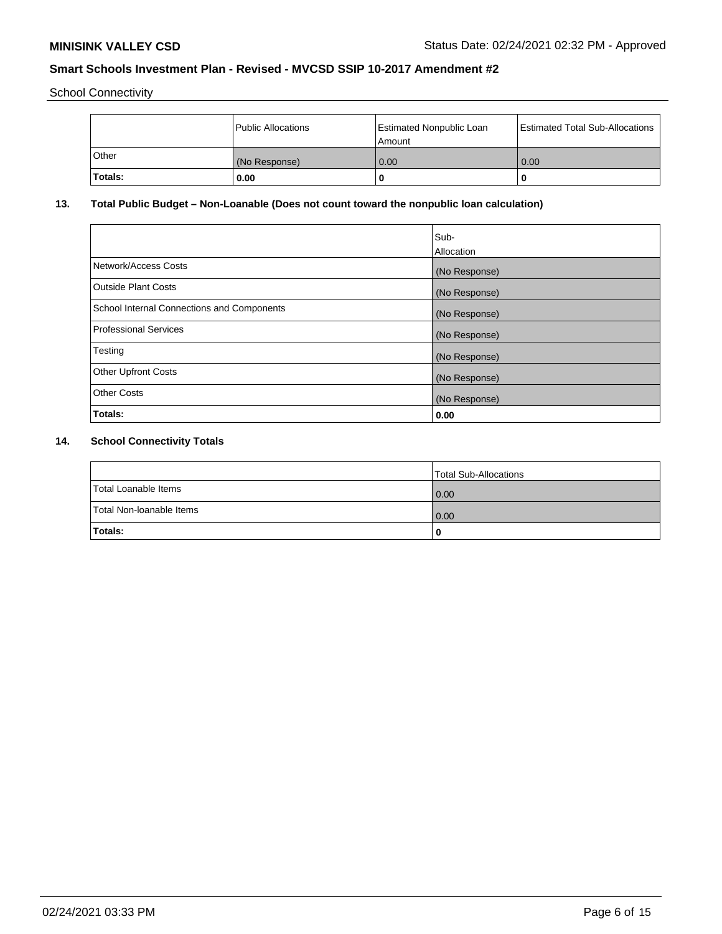School Connectivity

|         | <b>Public Allocations</b> | <b>Estimated Nonpublic Loan</b><br>Amount | <b>Estimated Total Sub-Allocations</b> |
|---------|---------------------------|-------------------------------------------|----------------------------------------|
| Other   | (No Response)             | 0.00                                      | 0.00                                   |
| Totals: | 0.00                      |                                           | O                                      |

# **13. Total Public Budget – Non-Loanable (Does not count toward the nonpublic loan calculation)**

|                                                   | Sub-<br>Allocation |
|---------------------------------------------------|--------------------|
| Network/Access Costs                              | (No Response)      |
| <b>Outside Plant Costs</b>                        | (No Response)      |
| <b>School Internal Connections and Components</b> | (No Response)      |
| Professional Services                             | (No Response)      |
| Testing                                           | (No Response)      |
| <b>Other Upfront Costs</b>                        | (No Response)      |
| <b>Other Costs</b>                                | (No Response)      |
| <b>Totals:</b>                                    | 0.00               |

# **14. School Connectivity Totals**

|                          | Total Sub-Allocations |
|--------------------------|-----------------------|
| Total Loanable Items     | 0.00                  |
| Total Non-Ioanable Items | 0.00                  |
| Totals:                  | 0                     |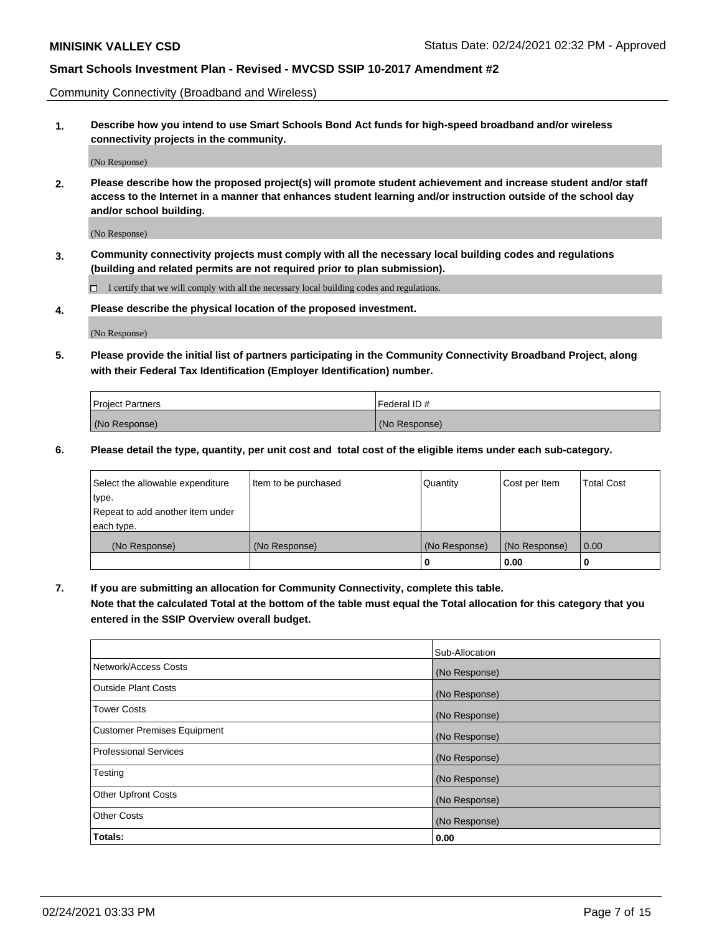Community Connectivity (Broadband and Wireless)

**1. Describe how you intend to use Smart Schools Bond Act funds for high-speed broadband and/or wireless connectivity projects in the community.**

(No Response)

**2. Please describe how the proposed project(s) will promote student achievement and increase student and/or staff access to the Internet in a manner that enhances student learning and/or instruction outside of the school day and/or school building.**

(No Response)

**3. Community connectivity projects must comply with all the necessary local building codes and regulations (building and related permits are not required prior to plan submission).**

 $\Box$  I certify that we will comply with all the necessary local building codes and regulations.

**4. Please describe the physical location of the proposed investment.**

(No Response)

**5. Please provide the initial list of partners participating in the Community Connectivity Broadband Project, along with their Federal Tax Identification (Employer Identification) number.**

| <b>Project Partners</b> | l Federal ID # |
|-------------------------|----------------|
| (No Response)           | (No Response)  |

**6. Please detail the type, quantity, per unit cost and total cost of the eligible items under each sub-category.**

| Select the allowable expenditure | Item to be purchased | Quantity      | Cost per Item | <b>Total Cost</b> |
|----------------------------------|----------------------|---------------|---------------|-------------------|
| type.                            |                      |               |               |                   |
| Repeat to add another item under |                      |               |               |                   |
| each type.                       |                      |               |               |                   |
| (No Response)                    | (No Response)        | (No Response) | (No Response) | 0.00              |
|                                  |                      | o             | 0.00          |                   |

**7. If you are submitting an allocation for Community Connectivity, complete this table.**

**Note that the calculated Total at the bottom of the table must equal the Total allocation for this category that you entered in the SSIP Overview overall budget.**

|                                    | Sub-Allocation |
|------------------------------------|----------------|
| Network/Access Costs               | (No Response)  |
| Outside Plant Costs                | (No Response)  |
| <b>Tower Costs</b>                 | (No Response)  |
| <b>Customer Premises Equipment</b> | (No Response)  |
| <b>Professional Services</b>       | (No Response)  |
| Testing                            | (No Response)  |
| <b>Other Upfront Costs</b>         | (No Response)  |
| <b>Other Costs</b>                 | (No Response)  |
| Totals:                            | 0.00           |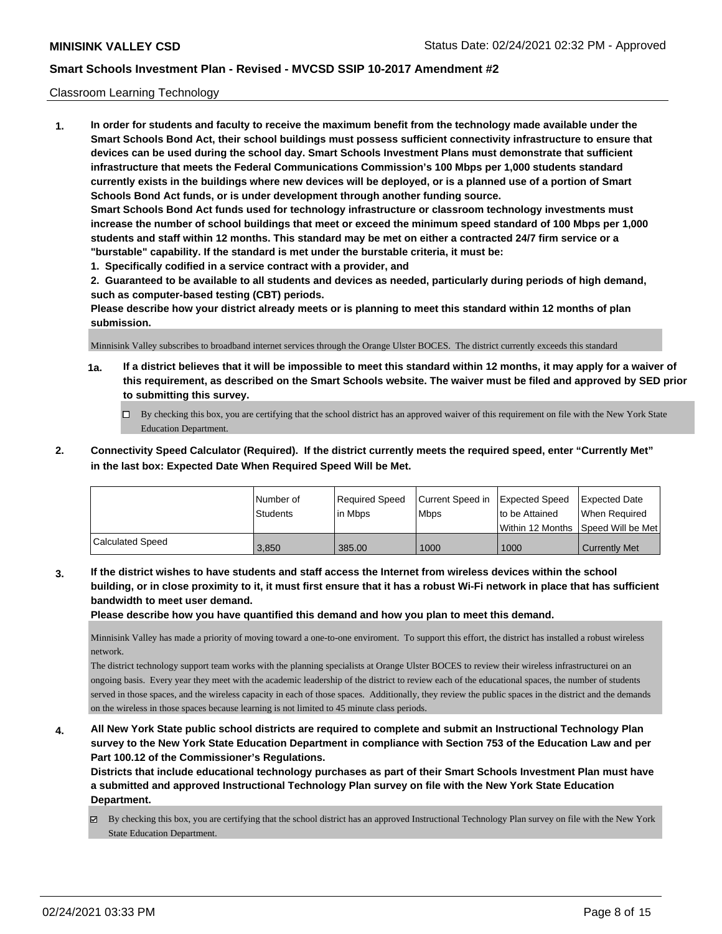#### Classroom Learning Technology

**1. In order for students and faculty to receive the maximum benefit from the technology made available under the Smart Schools Bond Act, their school buildings must possess sufficient connectivity infrastructure to ensure that devices can be used during the school day. Smart Schools Investment Plans must demonstrate that sufficient infrastructure that meets the Federal Communications Commission's 100 Mbps per 1,000 students standard currently exists in the buildings where new devices will be deployed, or is a planned use of a portion of Smart Schools Bond Act funds, or is under development through another funding source. Smart Schools Bond Act funds used for technology infrastructure or classroom technology investments must increase the number of school buildings that meet or exceed the minimum speed standard of 100 Mbps per 1,000 students and staff within 12 months. This standard may be met on either a contracted 24/7 firm service or a "burstable" capability. If the standard is met under the burstable criteria, it must be:**

**1. Specifically codified in a service contract with a provider, and**

**2. Guaranteed to be available to all students and devices as needed, particularly during periods of high demand, such as computer-based testing (CBT) periods.**

**Please describe how your district already meets or is planning to meet this standard within 12 months of plan submission.**

Minnisink Valley subscribes to broadband internet services through the Orange Ulster BOCES. The district currently exceeds this standard

- **1a. If a district believes that it will be impossible to meet this standard within 12 months, it may apply for a waiver of this requirement, as described on the Smart Schools website. The waiver must be filed and approved by SED prior to submitting this survey.**
	- By checking this box, you are certifying that the school district has an approved waiver of this requirement on file with the New York State Education Department.
- **2. Connectivity Speed Calculator (Required). If the district currently meets the required speed, enter "Currently Met" in the last box: Expected Date When Required Speed Will be Met.**

|                         | l Number of     | Required Speed | Current Speed in | Expected Speed | <b>Expected Date</b>                    |
|-------------------------|-----------------|----------------|------------------|----------------|-----------------------------------------|
|                         | <b>Students</b> | lin Mbps       | <b>Mbps</b>      | to be Attained | When Required                           |
|                         |                 |                |                  |                | l Within 12 Months ISpeed Will be Met l |
| <b>Calculated Speed</b> | 3.850           | 385.00         | 1000             | 1000           | <b>Currently Met</b>                    |

**3. If the district wishes to have students and staff access the Internet from wireless devices within the school building, or in close proximity to it, it must first ensure that it has a robust Wi-Fi network in place that has sufficient bandwidth to meet user demand.**

**Please describe how you have quantified this demand and how you plan to meet this demand.**

Minnisink Valley has made a priority of moving toward a one-to-one enviroment. To support this effort, the district has installed a robust wireless network.

The district technology support team works with the planning specialists at Orange Ulster BOCES to review their wireless infrastructurei on an ongoing basis. Every year they meet with the academic leadership of the district to review each of the educational spaces, the number of students served in those spaces, and the wireless capacity in each of those spaces. Additionally, they review the public spaces in the district and the demands on the wireless in those spaces because learning is not limited to 45 minute class periods.

**4. All New York State public school districts are required to complete and submit an Instructional Technology Plan survey to the New York State Education Department in compliance with Section 753 of the Education Law and per Part 100.12 of the Commissioner's Regulations.**

**Districts that include educational technology purchases as part of their Smart Schools Investment Plan must have a submitted and approved Instructional Technology Plan survey on file with the New York State Education Department.**

 $\boxtimes$  By checking this box, you are certifying that the school district has an approved Instructional Technology Plan survey on file with the New York State Education Department.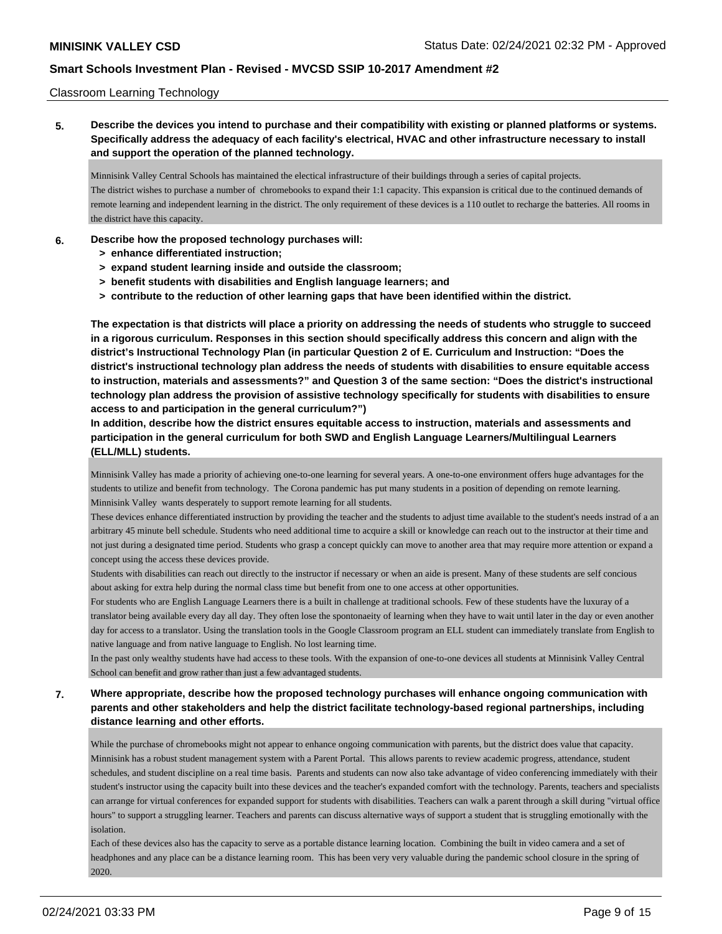### Classroom Learning Technology

**5. Describe the devices you intend to purchase and their compatibility with existing or planned platforms or systems. Specifically address the adequacy of each facility's electrical, HVAC and other infrastructure necessary to install and support the operation of the planned technology.**

Minnisink Valley Central Schools has maintained the electical infrastructure of their buildings through a series of capital projects. The district wishes to purchase a number of chromebooks to expand their 1:1 capacity. This expansion is critical due to the continued demands of remote learning and independent learning in the district. The only requirement of these devices is a 110 outlet to recharge the batteries. All rooms in the district have this capacity.

### **6. Describe how the proposed technology purchases will:**

- **> enhance differentiated instruction;**
- **> expand student learning inside and outside the classroom;**
- **> benefit students with disabilities and English language learners; and**
- **> contribute to the reduction of other learning gaps that have been identified within the district.**

**The expectation is that districts will place a priority on addressing the needs of students who struggle to succeed in a rigorous curriculum. Responses in this section should specifically address this concern and align with the district's Instructional Technology Plan (in particular Question 2 of E. Curriculum and Instruction: "Does the district's instructional technology plan address the needs of students with disabilities to ensure equitable access to instruction, materials and assessments?" and Question 3 of the same section: "Does the district's instructional technology plan address the provision of assistive technology specifically for students with disabilities to ensure access to and participation in the general curriculum?")**

**In addition, describe how the district ensures equitable access to instruction, materials and assessments and participation in the general curriculum for both SWD and English Language Learners/Multilingual Learners (ELL/MLL) students.**

Minnisink Valley has made a priority of achieving one-to-one learning for several years. A one-to-one environment offers huge advantages for the students to utilize and benefit from technology. The Corona pandemic has put many students in a position of depending on remote learning. Minnisink Valley wants desperately to support remote learning for all students.

These devices enhance differentiated instruction by providing the teacher and the students to adjust time available to the student's needs instrad of a an arbitrary 45 minute bell schedule. Students who need additional time to acquire a skill or knowledge can reach out to the instructor at their time and not just during a designated time period. Students who grasp a concept quickly can move to another area that may require more attention or expand a concept using the access these devices provide.

Students with disabilities can reach out directly to the instructor if necessary or when an aide is present. Many of these students are self concious about asking for extra help during the normal class time but benefit from one to one access at other opportunities.

For students who are English Language Learners there is a built in challenge at traditional schools. Few of these students have the luxuray of a translator being available every day all day. They often lose the spontonaeity of learning when they have to wait until later in the day or even another day for access to a translator. Using the translation tools in the Google Classroom program an ELL student can immediately translate from English to native language and from native language to English. No lost learning time.

In the past only wealthy students have had access to these tools. With the expansion of one-to-one devices all students at Minnisink Valley Central School can benefit and grow rather than just a few advantaged students.

# **7. Where appropriate, describe how the proposed technology purchases will enhance ongoing communication with parents and other stakeholders and help the district facilitate technology-based regional partnerships, including distance learning and other efforts.**

While the purchase of chromebooks might not appear to enhance ongoing communication with parents, but the district does value that capacity. Minnisink has a robust student management system with a Parent Portal. This allows parents to review academic progress, attendance, student schedules, and student discipline on a real time basis. Parents and students can now also take advantage of video conferencing immediately with their student's instructor using the capacity built into these devices and the teacher's expanded comfort with the technology. Parents, teachers and specialists can arrange for virtual conferences for expanded support for students with disabilities. Teachers can walk a parent through a skill during "virtual office hours" to support a struggling learner. Teachers and parents can discuss alternative ways of support a student that is struggling emotionally with the isolation.

Each of these devices also has the capacity to serve as a portable distance learning location. Combining the built in video camera and a set of headphones and any place can be a distance learning room. This has been very very valuable during the pandemic school closure in the spring of 2020.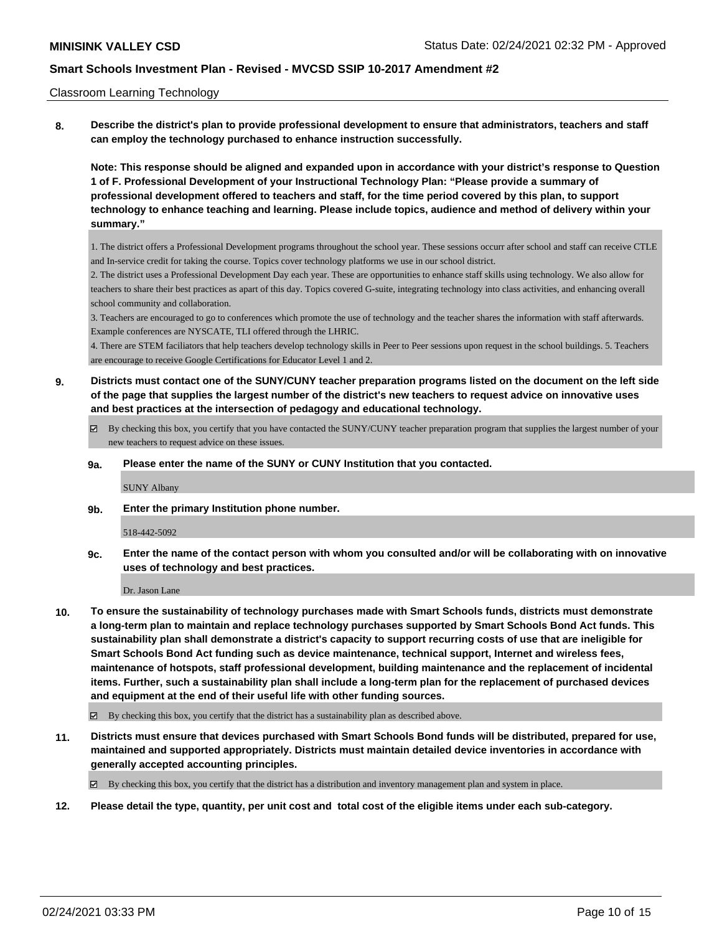#### Classroom Learning Technology

**8. Describe the district's plan to provide professional development to ensure that administrators, teachers and staff can employ the technology purchased to enhance instruction successfully.**

**Note: This response should be aligned and expanded upon in accordance with your district's response to Question 1 of F. Professional Development of your Instructional Technology Plan: "Please provide a summary of professional development offered to teachers and staff, for the time period covered by this plan, to support technology to enhance teaching and learning. Please include topics, audience and method of delivery within your summary."**

1. The district offers a Professional Development programs throughout the school year. These sessions occurr after school and staff can receive CTLE and In-service credit for taking the course. Topics cover technology platforms we use in our school district.

2. The district uses a Professional Development Day each year. These are opportunities to enhance staff skills using technology. We also allow for teachers to share their best practices as apart of this day. Topics covered G-suite, integrating technology into class activities, and enhancing overall school community and collaboration.

3. Teachers are encouraged to go to conferences which promote the use of technology and the teacher shares the information with staff afterwards. Example conferences are NYSCATE, TLI offered through the LHRIC.

4. There are STEM faciliators that help teachers develop technology skills in Peer to Peer sessions upon request in the school buildings. 5. Teachers are encourage to receive Google Certifications for Educator Level 1 and 2.

- **9. Districts must contact one of the SUNY/CUNY teacher preparation programs listed on the document on the left side of the page that supplies the largest number of the district's new teachers to request advice on innovative uses and best practices at the intersection of pedagogy and educational technology.**
	- By checking this box, you certify that you have contacted the SUNY/CUNY teacher preparation program that supplies the largest number of your new teachers to request advice on these issues.

#### **9a. Please enter the name of the SUNY or CUNY Institution that you contacted.**

SUNY Albany

**9b. Enter the primary Institution phone number.**

#### 518-442-5092

**9c. Enter the name of the contact person with whom you consulted and/or will be collaborating with on innovative uses of technology and best practices.**

Dr. Jason Lane

**10. To ensure the sustainability of technology purchases made with Smart Schools funds, districts must demonstrate a long-term plan to maintain and replace technology purchases supported by Smart Schools Bond Act funds. This sustainability plan shall demonstrate a district's capacity to support recurring costs of use that are ineligible for Smart Schools Bond Act funding such as device maintenance, technical support, Internet and wireless fees, maintenance of hotspots, staff professional development, building maintenance and the replacement of incidental items. Further, such a sustainability plan shall include a long-term plan for the replacement of purchased devices and equipment at the end of their useful life with other funding sources.**

 $\boxtimes$  By checking this box, you certify that the district has a sustainability plan as described above.

**11. Districts must ensure that devices purchased with Smart Schools Bond funds will be distributed, prepared for use, maintained and supported appropriately. Districts must maintain detailed device inventories in accordance with generally accepted accounting principles.**

By checking this box, you certify that the district has a distribution and inventory management plan and system in place.

**12. Please detail the type, quantity, per unit cost and total cost of the eligible items under each sub-category.**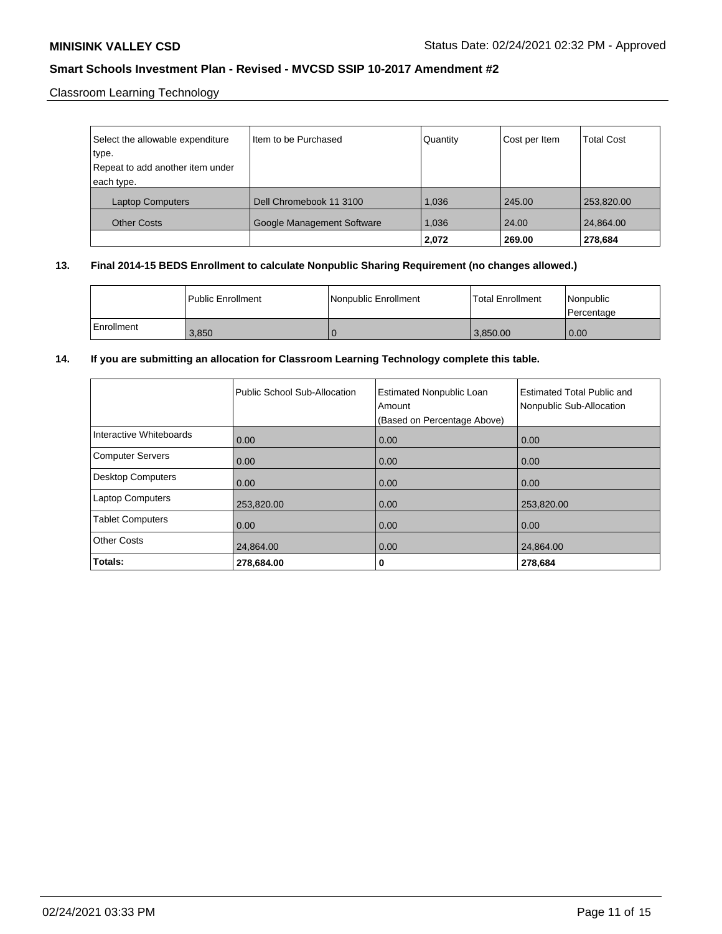Classroom Learning Technology

| Select the allowable expenditure | Item to be Purchased       | Quantity | Cost per Item | <b>Total Cost</b> |
|----------------------------------|----------------------------|----------|---------------|-------------------|
| type.                            |                            |          |               |                   |
| Repeat to add another item under |                            |          |               |                   |
| each type.                       |                            |          |               |                   |
| <b>Laptop Computers</b>          | Dell Chromebook 11 3100    | 1.036    | 245.00        | 253,820.00        |
| <b>Other Costs</b>               | Google Management Software | 1,036    | 24.00         | 24,864.00         |
|                                  |                            | 2,072    | 269.00        | 278,684           |

## **13. Final 2014-15 BEDS Enrollment to calculate Nonpublic Sharing Requirement (no changes allowed.)**

|              | l Public Enrollment | Nonpublic Enrollment | <b>Total Enrollment</b> | l Nonpublic<br>l Percentage |
|--------------|---------------------|----------------------|-------------------------|-----------------------------|
| l Enrollment | 3.850               |                      | 3.850.00                | 0.00                        |

## **14. If you are submitting an allocation for Classroom Learning Technology complete this table.**

|                          | Public School Sub-Allocation | <b>Estimated Nonpublic Loan</b><br>Amount<br>(Based on Percentage Above) | <b>Estimated Total Public and</b><br>Nonpublic Sub-Allocation |
|--------------------------|------------------------------|--------------------------------------------------------------------------|---------------------------------------------------------------|
| Interactive Whiteboards  | 0.00                         | 0.00                                                                     | 0.00                                                          |
| <b>Computer Servers</b>  | 0.00                         | 0.00                                                                     | 0.00                                                          |
| <b>Desktop Computers</b> | 0.00                         | 0.00                                                                     | 0.00                                                          |
| <b>Laptop Computers</b>  | 253,820.00                   | 0.00                                                                     | 253,820.00                                                    |
| <b>Tablet Computers</b>  | 0.00                         | 0.00                                                                     | 0.00                                                          |
| <b>Other Costs</b>       | 24,864.00                    | 0.00                                                                     | 24,864.00                                                     |
| Totals:                  | 278,684.00                   | 0                                                                        | 278,684                                                       |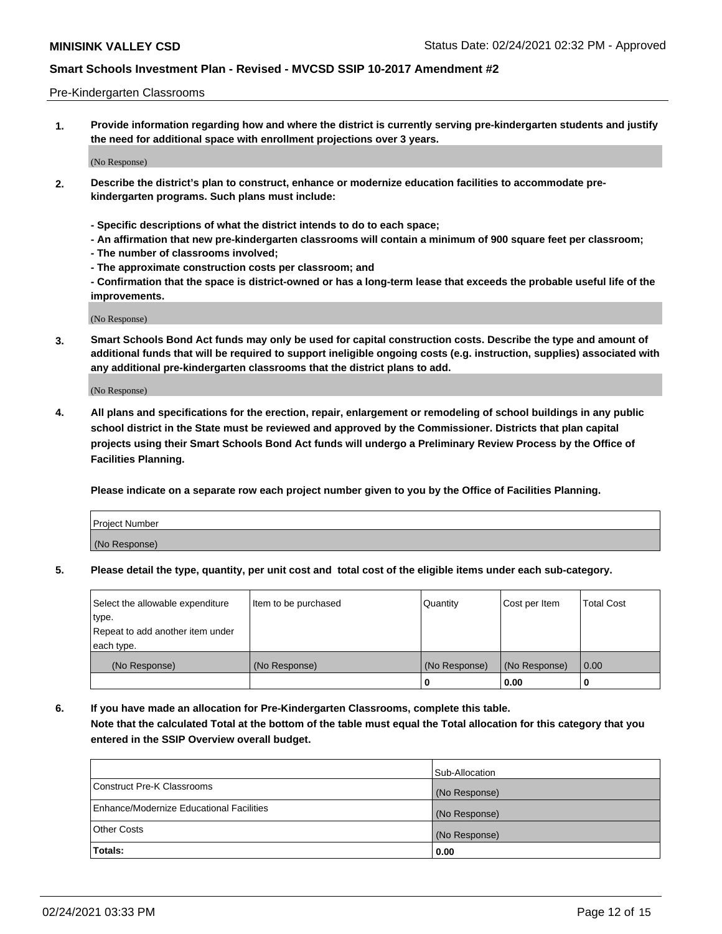#### Pre-Kindergarten Classrooms

**1. Provide information regarding how and where the district is currently serving pre-kindergarten students and justify the need for additional space with enrollment projections over 3 years.**

(No Response)

- **2. Describe the district's plan to construct, enhance or modernize education facilities to accommodate prekindergarten programs. Such plans must include:**
	- **Specific descriptions of what the district intends to do to each space;**
	- **An affirmation that new pre-kindergarten classrooms will contain a minimum of 900 square feet per classroom;**
	- **The number of classrooms involved;**
	- **The approximate construction costs per classroom; and**
	- **Confirmation that the space is district-owned or has a long-term lease that exceeds the probable useful life of the improvements.**

(No Response)

**3. Smart Schools Bond Act funds may only be used for capital construction costs. Describe the type and amount of additional funds that will be required to support ineligible ongoing costs (e.g. instruction, supplies) associated with any additional pre-kindergarten classrooms that the district plans to add.**

(No Response)

**4. All plans and specifications for the erection, repair, enlargement or remodeling of school buildings in any public school district in the State must be reviewed and approved by the Commissioner. Districts that plan capital projects using their Smart Schools Bond Act funds will undergo a Preliminary Review Process by the Office of Facilities Planning.**

**Please indicate on a separate row each project number given to you by the Office of Facilities Planning.**

| Project Number |  |
|----------------|--|
| (No Response)  |  |
|                |  |

**5. Please detail the type, quantity, per unit cost and total cost of the eligible items under each sub-category.**

| Select the allowable expenditure | Item to be purchased | Quantity      | Cost per Item | <b>Total Cost</b> |
|----------------------------------|----------------------|---------------|---------------|-------------------|
| type.                            |                      |               |               |                   |
| Repeat to add another item under |                      |               |               |                   |
| each type.                       |                      |               |               |                   |
| (No Response)                    | (No Response)        | (No Response) | (No Response) | 0.00              |
|                                  |                      | υ             | 0.00          |                   |

**6. If you have made an allocation for Pre-Kindergarten Classrooms, complete this table. Note that the calculated Total at the bottom of the table must equal the Total allocation for this category that you entered in the SSIP Overview overall budget.**

|                                          | Sub-Allocation |
|------------------------------------------|----------------|
| Construct Pre-K Classrooms               | (No Response)  |
| Enhance/Modernize Educational Facilities | (No Response)  |
| <b>Other Costs</b>                       | (No Response)  |
| Totals:                                  | 0.00           |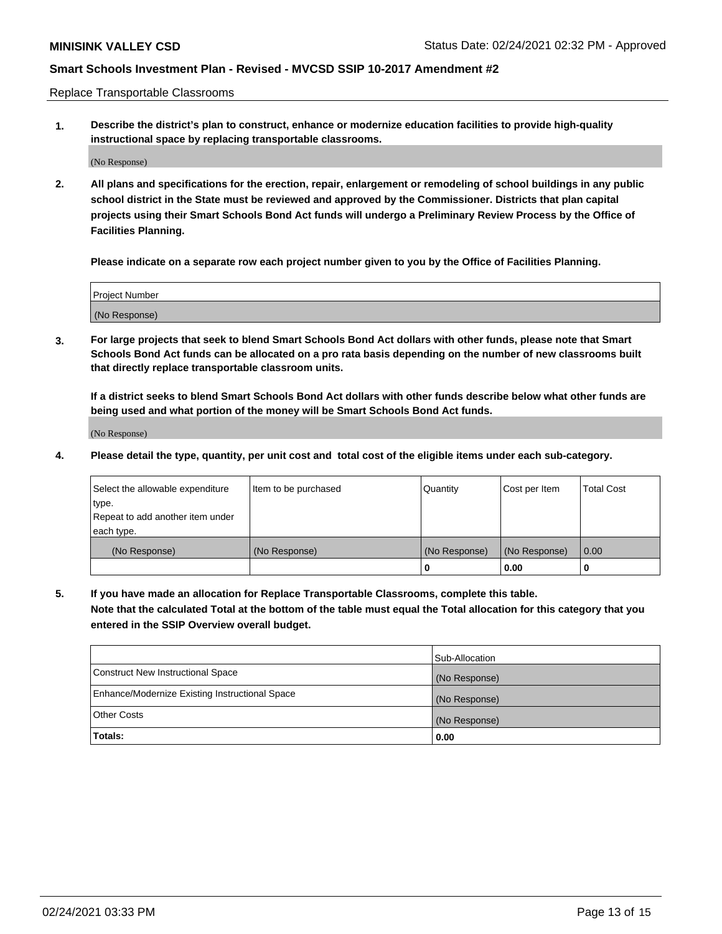Replace Transportable Classrooms

**1. Describe the district's plan to construct, enhance or modernize education facilities to provide high-quality instructional space by replacing transportable classrooms.**

(No Response)

**2. All plans and specifications for the erection, repair, enlargement or remodeling of school buildings in any public school district in the State must be reviewed and approved by the Commissioner. Districts that plan capital projects using their Smart Schools Bond Act funds will undergo a Preliminary Review Process by the Office of Facilities Planning.**

**Please indicate on a separate row each project number given to you by the Office of Facilities Planning.**

| Project Number |  |
|----------------|--|
|                |  |
| (No Response)  |  |

**3. For large projects that seek to blend Smart Schools Bond Act dollars with other funds, please note that Smart Schools Bond Act funds can be allocated on a pro rata basis depending on the number of new classrooms built that directly replace transportable classroom units.**

**If a district seeks to blend Smart Schools Bond Act dollars with other funds describe below what other funds are being used and what portion of the money will be Smart Schools Bond Act funds.**

(No Response)

**4. Please detail the type, quantity, per unit cost and total cost of the eligible items under each sub-category.**

| Select the allowable expenditure | Item to be purchased | Quantity      | Cost per Item | <b>Total Cost</b> |
|----------------------------------|----------------------|---------------|---------------|-------------------|
| ∣type.                           |                      |               |               |                   |
| Repeat to add another item under |                      |               |               |                   |
| each type.                       |                      |               |               |                   |
| (No Response)                    | (No Response)        | (No Response) | (No Response) | 0.00              |
|                                  |                      | 0             | 0.00          |                   |

**5. If you have made an allocation for Replace Transportable Classrooms, complete this table. Note that the calculated Total at the bottom of the table must equal the Total allocation for this category that you entered in the SSIP Overview overall budget.**

|                                                | Sub-Allocation |
|------------------------------------------------|----------------|
| Construct New Instructional Space              | (No Response)  |
| Enhance/Modernize Existing Instructional Space | (No Response)  |
| <b>Other Costs</b>                             | (No Response)  |
| Totals:                                        | 0.00           |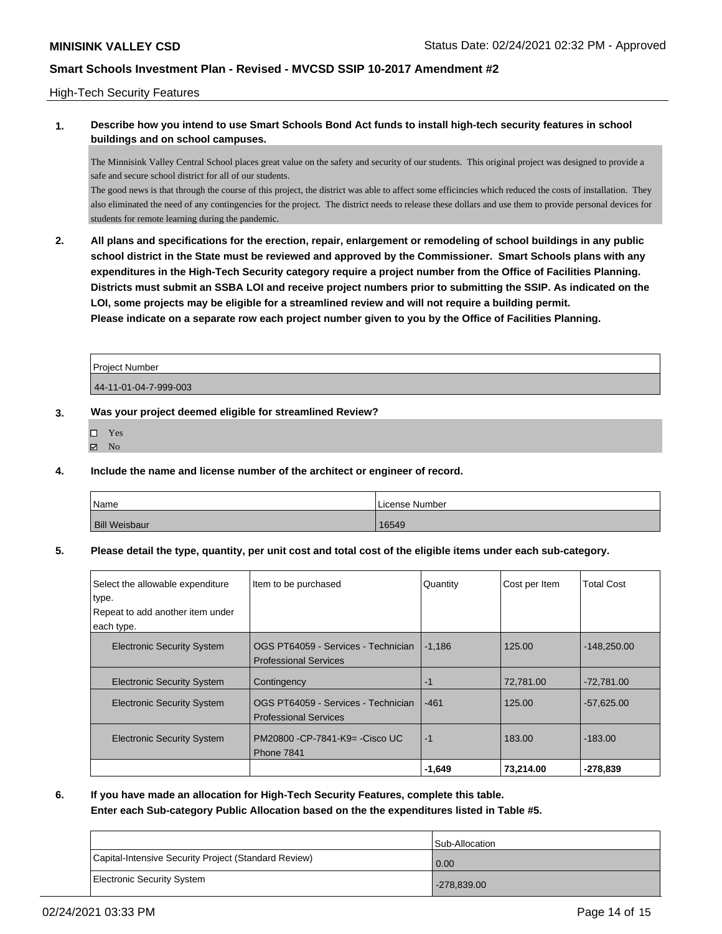### High-Tech Security Features

### **1. Describe how you intend to use Smart Schools Bond Act funds to install high-tech security features in school buildings and on school campuses.**

The Minnisink Valley Central School places great value on the safety and security of our students. This original project was designed to provide a safe and secure school district for all of our students.

The good news is that through the course of this project, the district was able to affect some efficincies which reduced the costs of installation. They also eliminated the need of any contingencies for the project. The district needs to release these dollars and use them to provide personal devices for students for remote learning during the pandemic.

**2. All plans and specifications for the erection, repair, enlargement or remodeling of school buildings in any public school district in the State must be reviewed and approved by the Commissioner. Smart Schools plans with any expenditures in the High-Tech Security category require a project number from the Office of Facilities Planning. Districts must submit an SSBA LOI and receive project numbers prior to submitting the SSIP. As indicated on the LOI, some projects may be eligible for a streamlined review and will not require a building permit. Please indicate on a separate row each project number given to you by the Office of Facilities Planning.**

| l Proiect Number      |  |
|-----------------------|--|
| 44-11-01-04-7-999-003 |  |

### **3. Was your project deemed eligible for streamlined Review?**

- Yes
- $\boxtimes$  No
- **4. Include the name and license number of the architect or engineer of record.**

| Name                 | License Number |
|----------------------|----------------|
| <b>Bill Weisbaur</b> | 16549          |

**5. Please detail the type, quantity, per unit cost and total cost of the eligible items under each sub-category.**

| Select the allowable expenditure<br>type. | Item to be purchased                                                | Quantity | Cost per Item | <b>Total Cost</b> |
|-------------------------------------------|---------------------------------------------------------------------|----------|---------------|-------------------|
| Repeat to add another item under          |                                                                     |          |               |                   |
| each type.                                |                                                                     |          |               |                   |
| <b>Electronic Security System</b>         | OGS PT64059 - Services - Technician<br><b>Professional Services</b> | $-1,186$ | 125.00        | $-148,250.00$     |
| <b>Electronic Security System</b>         | Contingency                                                         | -1       | 72,781.00     | $-72.781.00$      |
| <b>Electronic Security System</b>         | OGS PT64059 - Services - Technician<br><b>Professional Services</b> | $-461$   | 125.00        | $-57.625.00$      |
| <b>Electronic Security System</b>         | PM20800 - CP-7841-K9 = - Cisco UC<br><b>Phone 7841</b>              | $-1$     | 183.00        | $-183.00$         |
|                                           |                                                                     | $-1,649$ | 73,214.00     | $-278,839$        |

**6. If you have made an allocation for High-Tech Security Features, complete this table.**

**Enter each Sub-category Public Allocation based on the the expenditures listed in Table #5.**

|                                                      | <b>Sub-Allocation</b> |
|------------------------------------------------------|-----------------------|
| Capital-Intensive Security Project (Standard Review) | 0.00                  |
| Electronic Security System                           | $-278.839.00$         |